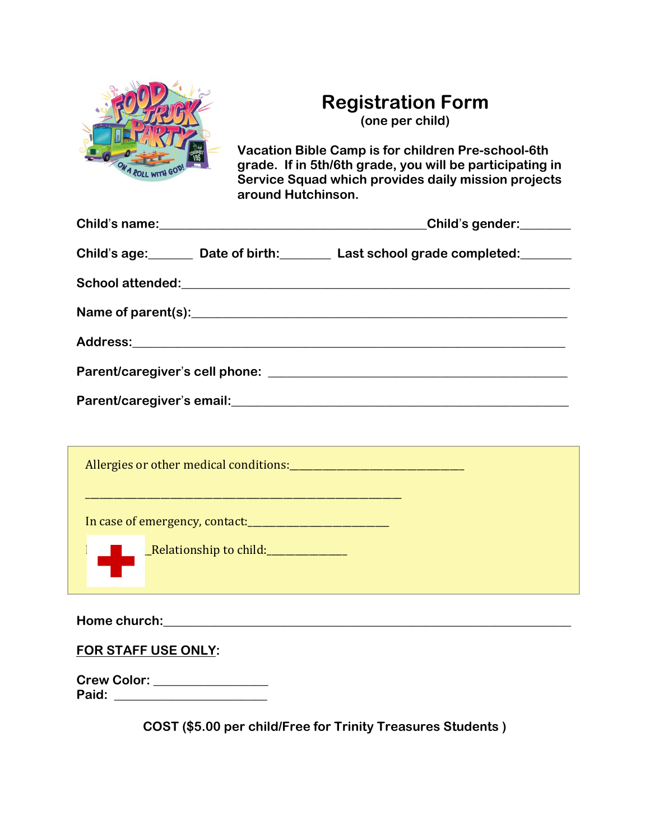

## **Registration Form**

**(one per child)**

**Vacation Bible Camp is for children Pre-school-6th grade. If in 5th/6th grade, you will be participating in Service Squad which provides daily mission projects around Hutchinson.** 

|                                                                                                                      | Child's gender:                                                                  |
|----------------------------------------------------------------------------------------------------------------------|----------------------------------------------------------------------------------|
| Child's age: Date of birth: Last school grade completed: Data                                                        |                                                                                  |
|                                                                                                                      |                                                                                  |
|                                                                                                                      |                                                                                  |
|                                                                                                                      |                                                                                  |
|                                                                                                                      |                                                                                  |
|                                                                                                                      |                                                                                  |
|                                                                                                                      |                                                                                  |
|                                                                                                                      |                                                                                  |
| <u> 1999 - Jan James James James James James James James James James James James James James James James James J</u> |                                                                                  |
| <b>Example 2 Relationship to child:</b>                                                                              |                                                                                  |
|                                                                                                                      | ,我们也不能会有一个人的事情。""我们的人,我们也不能会有一个人的人,我们也不能会有一个人的人,我们也不能会有一个人的人。""我们的人,我们也不能会有一个人的人 |
| FOR STAFF USE ONLY:                                                                                                  |                                                                                  |

**Crew Color: \_\_\_\_\_\_\_\_\_\_\_\_\_\_\_\_\_\_ Paid:**  $\blacksquare$ 

**COST (\$5.00 per child/Free for Trinity Treasures Students )**